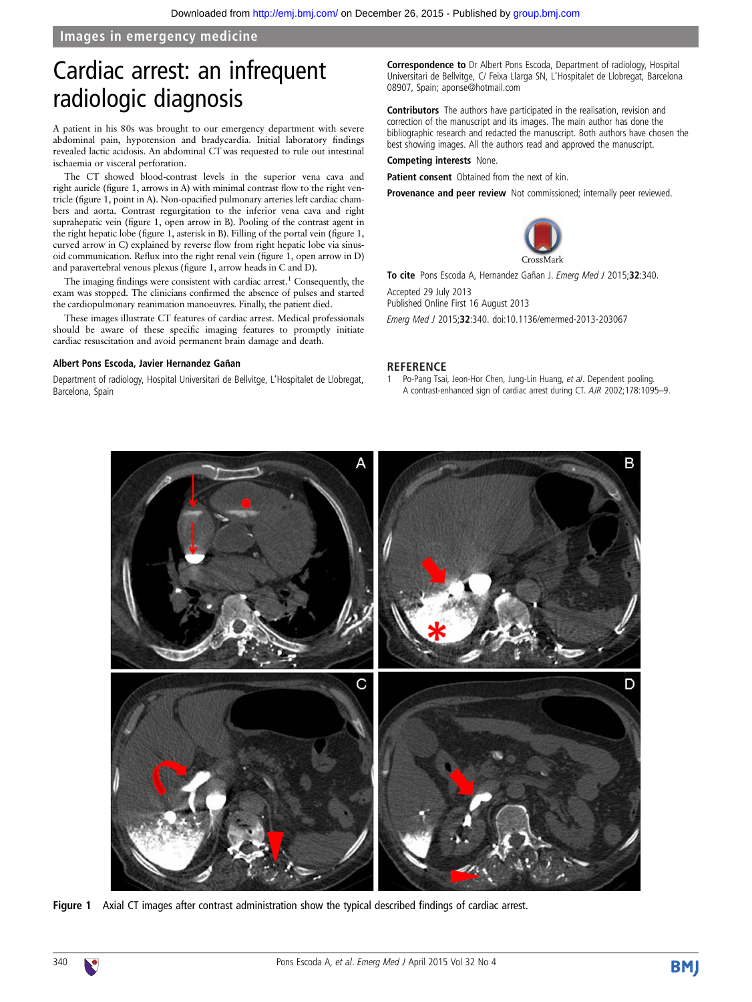### Images in emergency medicine

# Cardiac arrest: an infrequent radiologic diagnosis

A patient in his 80s was brought to our emergency department with severe abdominal pain, hypotension and bradycardia. Initial laboratory findings revealed lactic acidosis. An abdominal CT was requested to rule out intestinal ischaemia or visceral perforation.

The CT showed blood-contrast levels in the superior vena cava and right auricle (figure 1, arrows in A) with minimal contrast flow to the right ventricle (figure 1, point in A). Non-opacified pulmonary arteries left cardiac chambers and aorta. Contrast regurgitation to the inferior vena cava and right suprahepatic vein (figure 1, open arrow in B). Pooling of the contrast agent in the right hepatic lobe (figure 1, asterisk in B). Filling of the portal vein (figure 1, curved arrow in C) explained by reverse flow from right hepatic lobe via sinusoid communication. Reflux into the right renal vein (figure 1, open arrow in D) and paravertebral venous plexus (figure 1, arrow heads in C and D).

The imaging findings were consistent with cardiac arrest.<sup>1</sup> Consequently, the exam was stopped. The clinicians confirmed the absence of pulses and started the cardiopulmonary reanimation manoeuvres. Finally, the patient died.

These images illustrate CT features of cardiac arrest. Medical professionals should be aware of these specific imaging features to promptly initiate cardiac resuscitation and avoid permanent brain damage and death.

#### Albert Pons Escoda, Javier Hernandez Gañan

Department of radiology, Hospital Universitari de Bellvitge, L'Hospitalet de Llobregat, Barcelona, Spain

Correspondence to Dr Albert Pons Escoda, Department of radiology, Hospital Universitari de Bellvitge, C/ Feixa Llarga SN, L'Hospitalet de Llobregat, Barcelona 08907, Spain; aponse@hotmail.com

Contributors The authors have participated in the realisation, revision and correction of the manuscript and its images. The main author has done the bibliographic research and redacted the manuscript. Both authors have chosen the best showing images. All the authors read and approved the manuscript.

#### Competing interests None.

Patient consent Obtained from the next of kin.

Provenance and peer review Not commissioned; internally peer reviewed.



To cite Pons Escoda A, Hernandez Gañan J. Emerg Med J 2015;32:340.

Accepted 29 July 2013 Published Online First 16 August 2013

Emerg Med J 2015;32:340. doi:10.1136/emermed-2013-203067

#### **REFERENCE**

1 Po-Pang Tsai, Jeon-Hor Chen, Jung-Lin Huang, et al. Dependent pooling. A contrast-enhanced sign of cardiac arrest during CT. AJR 2002;178:1095–9.



Figure 1 Axial CT images after contrast administration show the typical described findings of cardiac arrest.